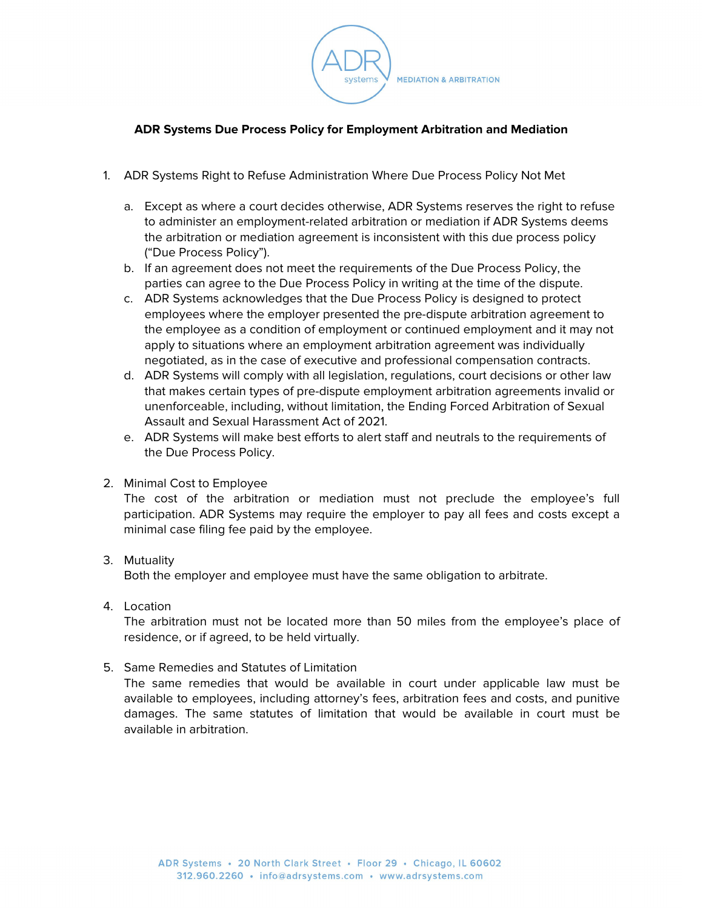

## **ADR Systems Due Process Policy for Employment Arbitration and Mediation**

- 1. ADR Systems Right to Refuse Administration Where Due Process Policy Not Met
	- a. Except as where a court decides otherwise, ADR Systems reserves the right to refuse to administer an employment-related arbitration or mediation if ADR Systems deems the arbitration or mediation agreement is inconsistent with this due process policy ("Due Process Policy").
	- b. If an agreement does not meet the requirements of the Due Process Policy, the parties can agree to the Due Process Policy in writing at the time of the dispute.
	- c. ADR Systems acknowledges that the Due Process Policy is designed to protect employees where the employer presented the pre-dispute arbitration agreement to the employee as a condition of employment or continued employment and it may not apply to situations where an employment arbitration agreement was individually negotiated, as in the case of executive and professional compensation contracts.
	- d. ADR Systems will comply with all legislation, regulations, court decisions or other law that makes certain types of pre-dispute employment arbitration agreements invalid or unenforceable, including, without limitation, the Ending Forced Arbitration of Sexual Assault and Sexual Harassment Act of 2021.
	- e. ADR Systems will make best efforts to alert staff and neutrals to the requirements of the Due Process Policy.
- 2. Minimal Cost to Employee

The cost of the arbitration or mediation must not preclude the employee's full participation. ADR Systems may require the employer to pay all fees and costs except a minimal case filing fee paid by the employee.

3. Mutuality

Both the employer and employee must have the same obligation to arbitrate.

4. Location

The arbitration must not be located more than 50 miles from the employee's place of residence, or if agreed, to be held virtually.

5. Same Remedies and Statutes of Limitation

The same remedies that would be available in court under applicable law must be available to employees, including attorney's fees, arbitration fees and costs, and punitive damages. The same statutes of limitation that would be available in court must be available in arbitration.